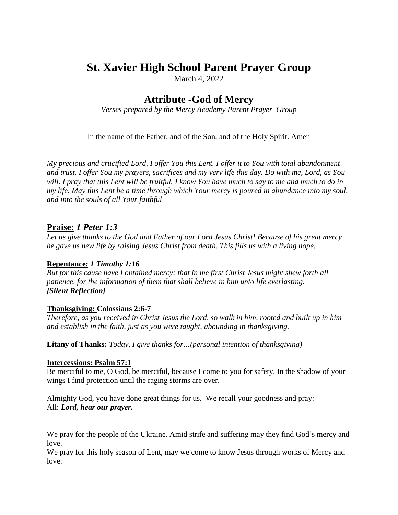# **St. Xavier High School Parent Prayer Group**

March 4, 2022

# **Attribute -God of Mercy**

*Verses prepared by the Mercy Academy Parent Prayer Group*

In the name of the Father, and of the Son, and of the Holy Spirit. Amen

*My precious and crucified Lord, I offer You this Lent. I offer it to You with total abandonment* and trust. I offer You my prayers, sacrifices and my very life this day. Do with me, Lord, as You will. I pray that this Lent will be fruitful. I know You have much to say to me and much to do in my life. May this Lent be a time through which Your mercy is poured in abundance into my soul, *and into the souls of all Your faithful*

## **Praise:** *1 Peter 1:3*

Let us give thanks to the God and Father of our Lord Jesus Christ! Because of his great mercy *he gave us new life by raising Jesus Christ from death. This fills us with a living hope.*

### **Repentance:** *1 Timothy 1:16*

*But for this cause have I obtained mercy: that in me first Christ Jesus might shew forth all patience, for the information of them that shall believe in him unto life everlasting. [Silent Reflection]*

### **Thanksgiving: Colossians 2:6-7**

Therefore, as you received in Christ Jesus the Lord, so walk in him, rooted and built up in him *and establish in the faith, just as you were taught, abounding in thanksgiving.* 

**Litany of Thanks:** *Today, I give thanks for…(personal intention of thanksgiving)*

#### **Intercessions: Psalm 57:1**

Be merciful to me, O God, be merciful, because I come to you for safety. In the shadow of your wings I find protection until the raging storms are over.

Almighty God, you have done great things for us. We recall your goodness and pray: All: *Lord, hear our prayer.*

We pray for the people of the Ukraine. Amid strife and suffering may they find God's mercy and love.

We pray for this holy season of Lent, may we come to know Jesus through works of Mercy and love.